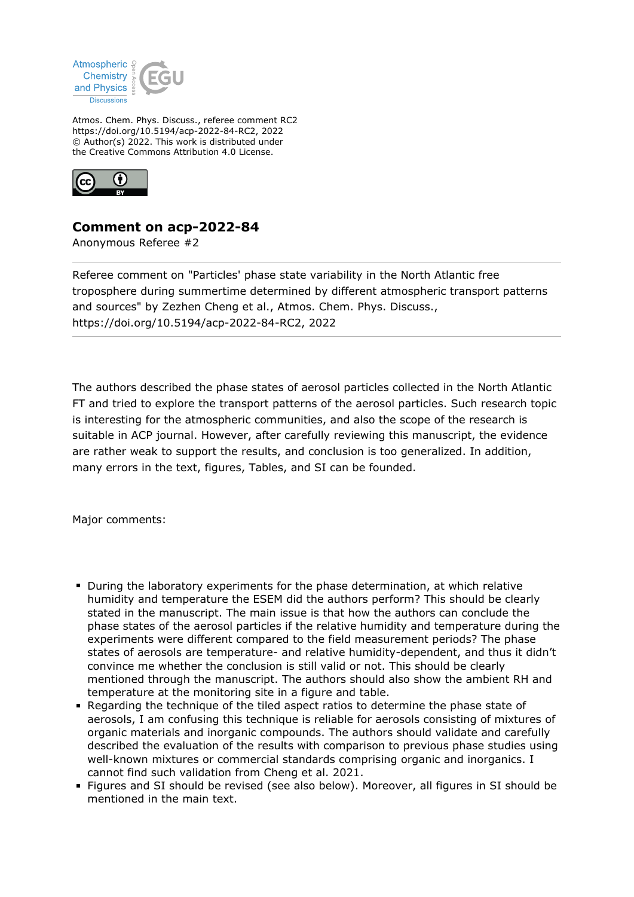

Atmos. Chem. Phys. Discuss., referee comment RC2 https://doi.org/10.5194/acp-2022-84-RC2, 2022 © Author(s) 2022. This work is distributed under the Creative Commons Attribution 4.0 License.



## **Comment on acp-2022-84**

Anonymous Referee #2

Referee comment on "Particles' phase state variability in the North Atlantic free troposphere during summertime determined by different atmospheric transport patterns and sources" by Zezhen Cheng et al., Atmos. Chem. Phys. Discuss., https://doi.org/10.5194/acp-2022-84-RC2, 2022

The authors described the phase states of aerosol particles collected in the North Atlantic FT and tried to explore the transport patterns of the aerosol particles. Such research topic is interesting for the atmospheric communities, and also the scope of the research is suitable in ACP journal. However, after carefully reviewing this manuscript, the evidence are rather weak to support the results, and conclusion is too generalized. In addition, many errors in the text, figures, Tables, and SI can be founded.

Major comments:

- During the laboratory experiments for the phase determination, at which relative humidity and temperature the ESEM did the authors perform? This should be clearly stated in the manuscript. The main issue is that how the authors can conclude the phase states of the aerosol particles if the relative humidity and temperature during the experiments were different compared to the field measurement periods? The phase states of aerosols are temperature- and relative humidity-dependent, and thus it didn't convince me whether the conclusion is still valid or not. This should be clearly mentioned through the manuscript. The authors should also show the ambient RH and temperature at the monitoring site in a figure and table.
- Regarding the technique of the tiled aspect ratios to determine the phase state of aerosols, I am confusing this technique is reliable for aerosols consisting of mixtures of organic materials and inorganic compounds. The authors should validate and carefully described the evaluation of the results with comparison to previous phase studies using well-known mixtures or commercial standards comprising organic and inorganics. I cannot find such validation from Cheng et al. 2021.
- Figures and SI should be revised (see also below). Moreover, all figures in SI should be mentioned in the main text.